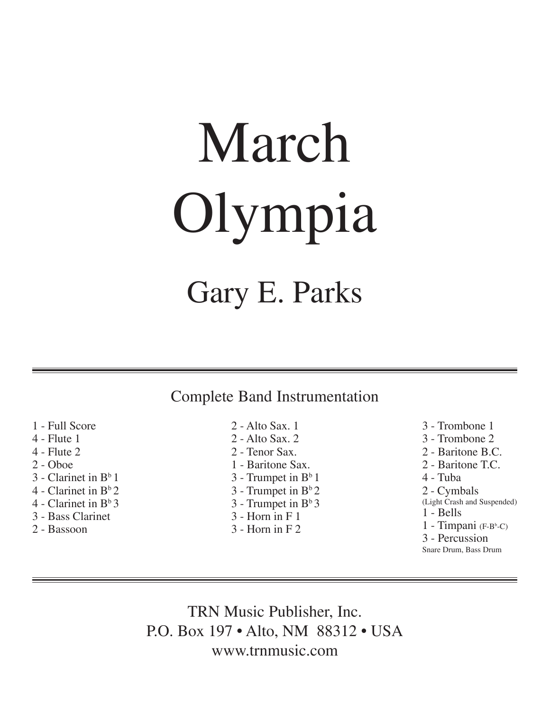# March Olympia

### Gary E. Parks

#### Complete Band Instrumentation

- 1 Full Score
- 4 Flute 1
- 4 Flute 2
- 2 Oboe
- $3$  Clarinet in  $B<sup>b</sup>1$
- 4 Clarinet in  $B^b$  2.
- 4 Clarinet in  $B^b 3$
- 3 Bass Clarinet
- 2 Bassoon
- 2 Alto Sax. 1
- 2 Alto Sax. 2
- 2 Tenor Sax.
- 1 Baritone Sax.
- $3$  Trumpet in  $B^b 1$
- $3$  Trumpet in  $B^b2$
- $3$  Trumpet in  $B^{\circ}3$
- 3 Horn in F 1
- 
- 3 Horn in F 2

3 - Trombone 1 3 - Trombone 2 2 - Baritone B.C. 2 - Baritone T.C. 4 - Tuba 2 - Cymbals (Light Crash and Suspended) 1 - Bells 1 - Timpani (F-Bb -C) 3 - Percussion Snare Drum, Bass Drum

TRN Music Publisher, Inc. P.O. Box 197 • Alto, NM 88312 • USA www.trnmusic.com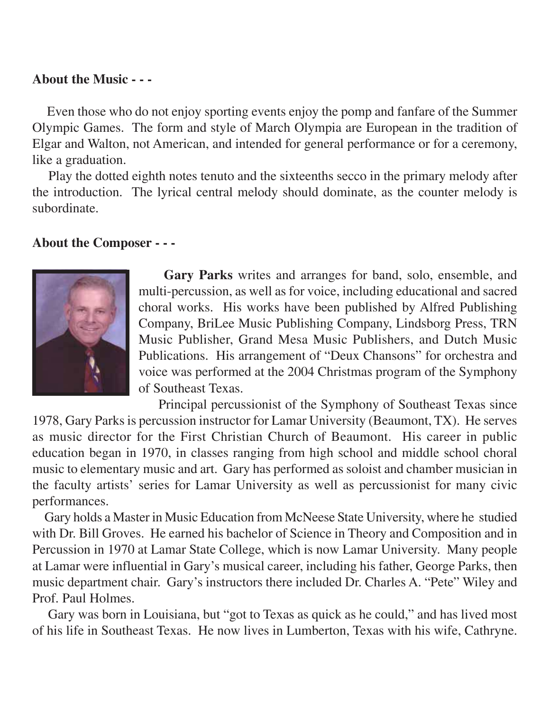#### **About the Music - - -**

 Even those who do not enjoy sporting events enjoy the pomp and fanfare of the Summer Olympic Games. The form and style of March Olympia are European in the tradition of Elgar and Walton, not American, and intended for general performance or for a ceremony, like a graduation.

 Play the dotted eighth notes tenuto and the sixteenths secco in the primary melody after the introduction. The lyrical central melody should dominate, as the counter melody is subordinate.

#### **About the Composer - - -**



**Gary Parks** writes and arranges for band, solo, ensemble, and multi-percussion, as well as for voice, including educational and sacred choral works. His works have been published by Alfred Publishing Company, BriLee Music Publishing Company, Lindsborg Press, TRN Music Publisher, Grand Mesa Music Publishers, and Dutch Music Publications. His arrangement of "Deux Chansons" for orchestra and voice was performed at the 2004 Christmas program of the Symphony of Southeast Texas.

 Principal percussionist of the Symphony of Southeast Texas since 1978, Gary Parks is percussion instructor for Lamar University (Beaumont, TX). He serves as music director for the First Christian Church of Beaumont. His career in public education began in 1970, in classes ranging from high school and middle school choral music to elementary music and art. Gary has performed as soloist and chamber musician in the faculty artists' series for Lamar University as well as percussionist for many civic performances.

 Gary holds a Master in Music Education from McNeese State University, where he studied with Dr. Bill Groves. He earned his bachelor of Science in Theory and Composition and in Percussion in 1970 at Lamar State College, which is now Lamar University. Many people at Lamar were influential in Gary's musical career, including his father, George Parks, then music department chair. Gary's instructors there included Dr. Charles A. "Pete" Wiley and Prof. Paul Holmes.

 Gary was born in Louisiana, but "got to Texas as quick as he could," and has lived most of his life in Southeast Texas. He now lives in Lumberton, Texas with his wife, Cathryne.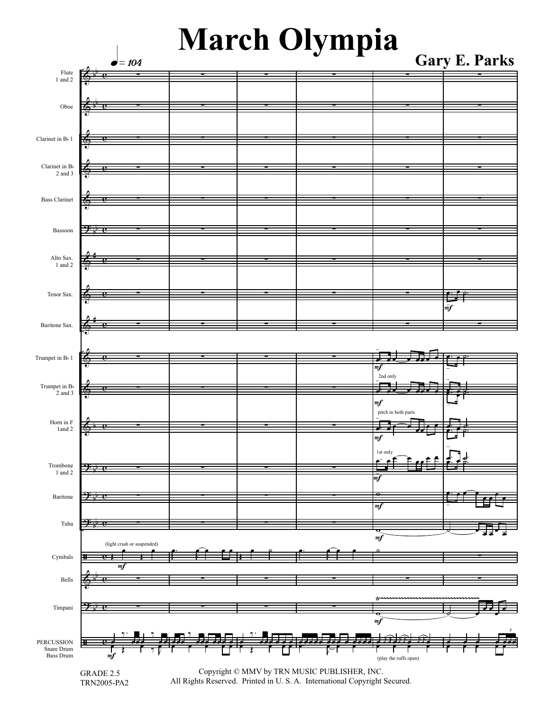## **March Olympia Gary E. Parks**

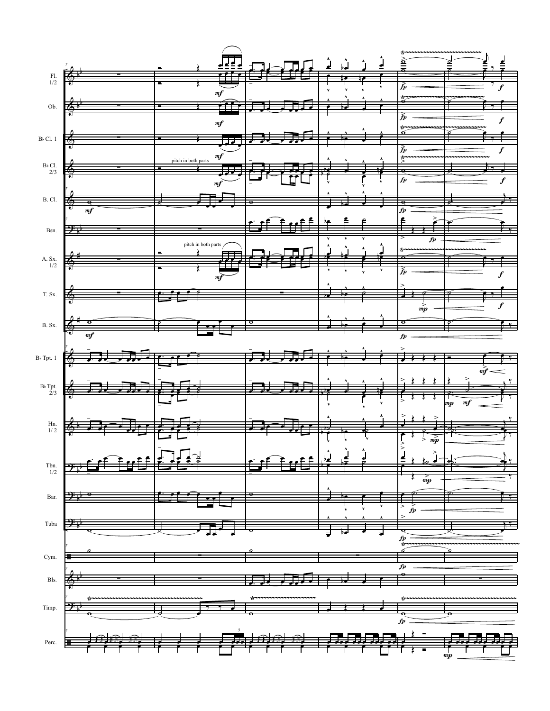